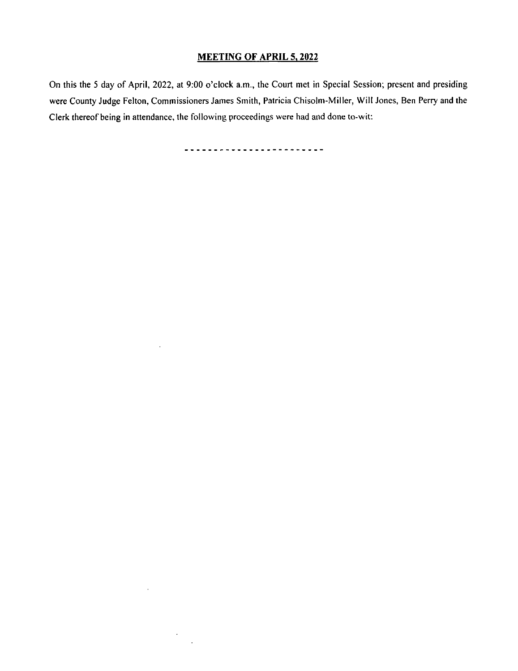# MEETING OF APRIL 5, 2022

On this the 5 day of April, 2022, at 9:00 o'clock a.m., the Court met in Special Session; present and presiding were County Judge Felton, Commissioners James Smith, Patricia Chisolm- Miller, Will Jones, Ben Perry and the Clerk thereof being in attendance, the following proceedings were had and done to- wit:

-------------------------

 $\ddot{\phantom{0}}$ 

 $\sim$ 

 $\epsilon$  $\mathbb{R}^2$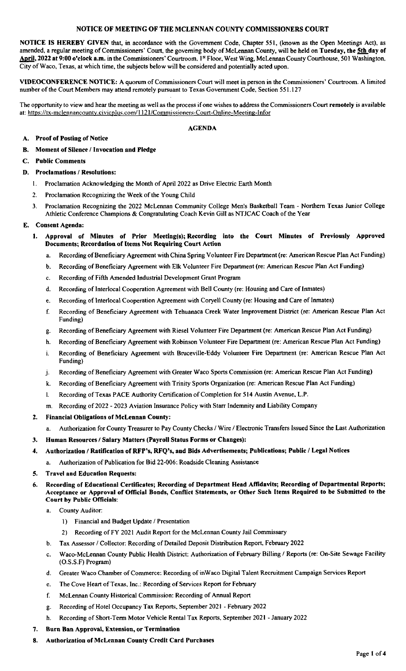## NOTICE OF MEETING OF THE MCLENNAN COUNTY COMMISSIONERS COURT

NOTICE IS HEREBY GIVEN that, in accordance with the Government Code, Chapter 551, ( known as the Open Meetings Act), as amended, a regular meeting of Commissioners' Court, the governing body of McLennan County, will be held on Tuesday, the 5th day of April, 2022 at 9:00 o'clock a.m. in the Commissioners' Courtroom, 1st Floor, West Wing, McLennan County Courthouse, 501 Washington, City of Waco, Texas, at which time, the subjects below will be considered and potentially acted upon.

VIDEOCONFERENCE NOTICE: A quorum of Commissioners Court will meet in person in the Commissioners' Courtroom. A limited number of the Court Members may attend remotely pursuant to Texas Government Code, Section 551. 127

The opportunity to view and hear the meeting as well as the process if one wishes to address the Commissioners Court remotely is available at: https://tx-mclennancounty.civicplus.com/1121/Commissioners-Court-Online-Meeting-Infor

#### AGENDA

- A. Proof of Posting of Notice
- B. Moment of Silence/ Invocation and Pledge
- C. Public Comments
- D. Proclamations/ Resolutions:
	- I. Proclamation Acknowledging the Month of April 2022 as Drive Electric Earth Month
	- 2. Proclamation Recognizing the Week of the Young Child
	- 3. Proclamation Recognizing the 2022 McLennan Community College Men's Basketball Team Northern Texas Junior College Athletic Conference Champions& Congratulating Coach Kevin Gill as NTJCAC Coach of the Year

## E. Consent Agenda:

- 1. Approval of Minutes of Prior Meeting(s); Recording into the Court Minutes of Previously Approved Documents; Recordation of Items Not Requiring Court Action
	- a. Recording of Beneficiary Agreement with China Spring Volunteer Fire Department( re: American Rescue Plan Act Funding)
	- b. Recording of Beneficiary Agreement with Elk Volunteer Fire Department (re: American Rescue Plan Act Funding)
	- c. Recording of Fifth Amended Industrial Development Grant Program
	- d. Recording of Interlocal Cooperation Agreement with Bell County( re: Housing and Care of Inmates)
	- e. Recording of Interlocal Cooperation Agreement with Coryell County( re: Housing and Care of Inmates)
	- f. Recording of Beneficiary Agreement with Tehuanaca Creek Water Improvement District ( re: American Rescue Plan Act Funding)
	- g. Recording of Beneficiary Agreement with Riesel Volunteer Fire Department( re: American Rescue Plan Act Funding)
	- h. Recording of Beneficiary Agreement with Robinson Volunteer Fire Department (re: American Rescue Plan Act Funding)
	- i. Recording of Beneficiary Agreement with Bruceville-Eddy Volunteer Fire Department (re: American Rescue Plan Act Funding)
	- j. Recording of Beneficiary Agreement with Greater Waco Sports Commission (re: American Rescue Plan Act Funding)
	- k. Recording of Beneficiary Agreement with Trinity Sports Organization (re: American Rescue Plan Act Funding)
	- I. Recording of Texas PACE Authority Certification of Completion for 514 Austin Avenue, L.P.
	- m. Recording of 2022 2023 Aviation Insurance Policy with Starr Indemnity and Liability Company

## 2. Financial Obligations of McLennan County:

- a. Authorization for County Treasurer to Pay County Checks/ Wire/ Electronic Transfers Issued Since the Last Authorization
- 3. Human Resources/ Salary Matters( Payroll Status Forms or Changes):

## 4. Authorization / Ratification of RFP's, RFQ's, and Bids Advertisements; Publications; Public / Legal Notices

a. Authorization of Publication for Bid 22-006: Roadside Cleaning Assistance

## 5. Travel and Education Requests:

- 6. Recording of Educational Certificates; Recording of Department Head Affidavits; Recording of Departmental Reports; Acceptance or Approval of Official Bonds, Conflict Statements, or Other Such Items Required to be Submitted to the Court by Public Officials:
	- a. County Auditor:
		- 1) Financial and Budget Update/ Presentation
		- 2) Recording of FY 2021 Audit Report for the McLennan County Jail Commissary
	- b. Tax Assessor/ Collector: Recording of Detailed Deposit Distribution Report, February 2022
	- c. Waco-McLennan County Public Health District: Authorization of February Billing / Reports (re: On-Site Sewage Facility O.S. S. F) Program)
	- d. Greater Waco Chamber of Commerce: Recording of inWaco Digital Talent Recruitment Campaign Services Report
	- e. The Cove Heart of Texas, Inc.: Recording of Services Report for February
	- f. McLennan County Historical Commission: Recording of Annual Report
	- g. Recording of Hotel Occupancy Tax Reports, September 2021 February 2022
	- h. Recording of Short-Term Motor Vehicle Rental Tax Reports, September 2021 January 2022
- 7. Burn Ban Approval, Extension, or Termination
- 8. Authorization of McLennan County Credit Card Purchases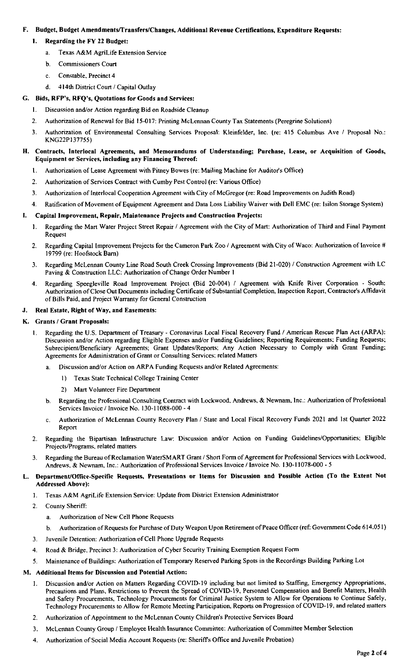# F. Budget, Budget Amendments/ Transfers/ Changes, Additional Revenue Certifications, Expenditure Requests:

- 1. Regarding the FY 22 Budget:
	- a. Texas A&M AgriLife Extension Service
	- b. Commissioners Court
	- c. Constable, Precinct 4
	- d. 414th District Court/ Capital Outlay

## G. Bids, RFP's, RFQ's, Quotations for Goods and Services:

- 1. Discussion and/or Action regarding Bid on Roadside Cleanup
- 2. Authorization of Renewal for Bid 15-017: Printing McLennan County Tax Statements (Peregrine Solutions)
- 3. Authorization of Environmental Consulting Services Proposal: Kleinfelder, Inc. ( re: 415 Columbus Ave / Proposal No.: KNG22P137755)

## H. Contracts, Interlocal Agreements, and Memorandums of Understanding; Purchase, Lease, or Acquisition of Goods, Equipment or Services, including any Financing Thereof:

- 1. Authorization of Lease Agreement with Pitney Bowes (re: Mailing Machine for Auditor's Office)
- 2. Authorization of Services Contract with Cumby Pest Control (re: Various Office)
- 3. Authorization of Interlocal Cooperation Agreement with City of McGregor( re: Road Improvements on Judith Road)
- 4. Ratification of Movement of Equipment Agreement and Data Loss Liability Waiver with Dell EMC( re: Isilon Storage System)

#### 1. Capital Improvement, Repair, Maintenance Projects and Construction Projects:

- 1. Regarding the Mart Water Project Street Repair/ Agreement with the City of Mart: Authorization of Third and Final Payment Request
- 2. Regarding Capital Improvement Projects for the Cameron Park Zoo / Agreement with City of Waco: Authorization of Invoice # 19799( re: Hoofstock Barn)
- 3. Regarding McLennan County Line Road South Creek Crossing Improvements (Bid 21-020) / Construction Agreement with LC Paving& Construction LLC: Authorization of Change Order Number I
- 4. Regarding Speegleville Road Improvement Project (Bid 20-004) / Agreement with Knife River Corporation South: Authorization of Close Out Documents including Certificate of Substantial Completion, Inspection Report, Contractor's Affidavit of Bills Paid, and Project Warranty for General Construction

#### J. Real Estate, Right of Way, and Easements:

- K. Grants/ Grant Proposals:
	- 1. Regarding the U.S. Department of Treasury Coronavirus Local Fiscal Recovery Fund / American Rescue Plan Act (ARPA): Discussion and/or Action regarding Eligible Expenses and/or Funding Guidelines; Reporting Requirements; Funding Requests; Subrecipient/Beneficiary Agreements; Grant Updates/Reports; Any Action Necessary to Comply with Grant Funding; Agreements for Administration of Grant or Consulting Services: related Matters
		- Discussion and/or Action on ARPA Funding Requests and/or Related Agreements:
			- I) Texas State Technical College Training Center
			- 2) Mart Volunteer Fire Department
		- b. Regarding the Professional Consulting Contract with Lockwood, Andrews, & Newnam. Inc.: Authorization of Professional Services Invoice / Invoice No. 130-11088-000 - 4
		- c. Authorization of McLennan County Recovery Plan / State and Local Fiscal Recovery Funds 2021 and 1st Quarter 2022 Report
	- 2. Regarding the Bipartisan Infrastructure Law: Discussion and/or Action on Funding Guidelines/Opportunities; Eligible Projects/Programs, related matters
	- 3. Regarding the Bureau of Reclamation WaterSMART Grant/ Short Form of Agreement for Professional Services with Lockwood, Andrews, & Newnam, Inc.: Authorization of Professional Services Invoice / Invoice No. 130-11078-000 - 5

#### L. Department/Office-Specific Requests, Presentations or Items for Discussion and Possible Action ( To the Extent Not Addressed Above):

- 1. Texas A&M AgriLife Extension Service: Update from District Extension Administrator
- 2. County Sheriff:
	- a. Authorization of New Cell Phone Requests
	- b. Authorization of Requests for Purchase of Duty Weapon Upon Retirement of Peace Officer (ref: Government Code 614.051)
- 3. Juvenile Detention: Authorization of Cell Phone Upgrade Requests
- 4. Road& Bridge, Precinct 3: Authorization of Cyber Security Training Exemption Request Form
- 5. Maintenance of Buildings: Authorization of Temporary Reserved Parking Spots in the Recordings Building Parking Lot

## M. Additional Items for Discussion and Potential Action:

- 1. Discussion and/or Action on Matters Regarding COVID-19 including but not limited to Staffing, Emergency Appropriations, Precautions and Plans, Restrictions to Prevent the Spread of COVID-19, Personnel Compensation and Benefit Matters, Health and Safety Procurements, Technology Procurements for Criminal Justice System to Allow for Operations to Continue Safely, Technology Procurements to Allow for Remote Meeting Participation, Reports on Progression of COVID-19, and related matters
- 2. Authorization of Appointment to the McLennan County Children's Protective Services Board
- 3. McLennan County Group/ Employee Health Insurance Committee: Authorization of Committee Member Selection
- 4. Authorization of Social Media Account Requests( re: Sheriffs Office and Juvenile Probation)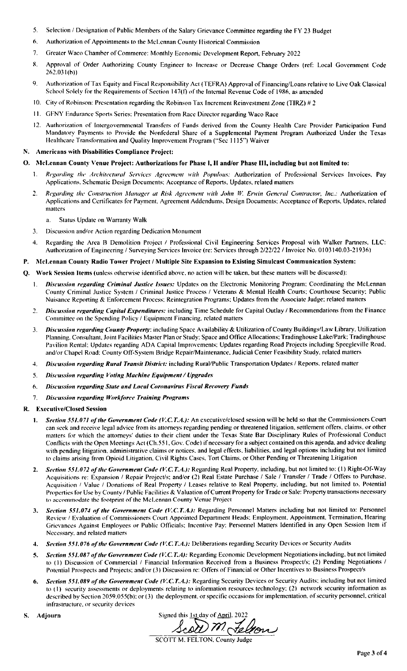- 5. Selection/ Designation of Public Members of the Salary Grievance Committee regarding the FY 23 Budget
- 6. Authorization of Appointments to the McLennan County Historical Commission
- 7. Greater Waco Chamber of Commerce: Monthly Economic Development Report, February 2022
- 8. Approval of Order Authorizing County Engineer to Increase or Decrease Change Orders ( ref: Local Government Code 262. 031( h))
- 9. Authorization of Tax Equity and Fiscal Responsibility Act( TEFRA) Approval of Financing/ Loans relative to Live Oak Classical School Solely for the Requirements of Section 147(f) of the Internal Revenue Code of 1986, as amended
- 10. City of Robinson: Presentation regarding the Robinson Tax Increment Reinvestment Zone (TIRZ) # 2
- II. GFNY Endurance Sports Series: Presentation from Race Director regarding Waco Race
- 12. Authorization of Intergovernmental Transfers of Funds derived from the County Health Care Provider Participation Fund Mandatory Payments to Provide the Nonfederal Share of a Supplemental Payment Program Authorized Under the Texas Healthcare Transformation and Quality Improvement Program ("Sec 1115") Waiver

#### Americans with Disabilities Compliance Project:

#### O. McLennan County Venue Project: Authorizations for Phase I, II and/or Phase III, including but not limited to:

- Regarding the Architectural Services Agreement with Populous: Authorization of Professional Services Invoices, Pay Applications. Schematic Design Documents: Acceptance of Reports. Updates. related matters
- 2. Regarding the Construction Manager at Risk Agreement with John W. Erwin General Contractor, Inc.: Authorization of Applications and Certificates for Payment. Agreement Addendums, Design Documents: Acceptance of Reports. Updates. related matters
	- a. Status Update on Warranty Walk
- 3. Discussion and/or Action regarding Dedication Monument
- 4. Regarding the Area B Demolition Project / Professional Civil Engineering Services Proposal with Walker Partners. LLC: Authorization of Engineering / Surveying Services Invoice (re: Services through 2/22/22 / Invoice No. 0103140.03-21936)

#### P. McLennan County Radio Tower Project/ Multiple Site Expansion to Existing Simulcast Communication System:

- Work Session Items (unless otherwise identified above, no action will be taken, but these matters will be discussed):
	- 1. Discussion regarding Criminal Justice Issues: Updates on the Electronic Monitoring Program: Coordinating the McLennan County Criminal Justice System / Criminal Justice Process / Veterans & Mental Health Courts; Courthouse Security: Public Nuisance Reporting& Enforcement Process: Reintegration Programs; Updates from the Associate Judge: related matters
	- 2. Discussion regarding Capital Expenditures: including Time Schedule for Capital Outlay / Recommendations from the Finance Committee on the Spending Policy/ Equipment Financing, related matters
	- 3. Discussion regarding County Property: including Space Availability & Utilization of County Buildings/Law Library. Utilization Planning. Consultant, Joint Facilities Master Plan or Study: Space and Office Allocations: Tradinghouse Lake/ Park; Tradinghouse Pavilion Rental; Updates regarding ADA Capital Improvements: Updates regarding Road Projects including Speegleville Road, and/or Chapel Road: County Off-System Bridge Repair/Maintenance, Judicial Center Feasibility Study, related matters
	- 4. Discussion regarding Rural Transit District: including Rural/Public Transportation Updates / Reports, related matter
	- 5. Discussion regarding Voting Machine Equipment/ Upgrades
	- 6. Discussion regarding State and Local Corona virus Fiscal Recovery Funds
	- 7. Discussion regarding Workforce Training Programs

#### R. Executive/Closed Session

- 1. Section 551.071 of the Government Code (V.C.T.A.): An executive/closed session will be held so that the Commissioners Court can seek and receive legal advice from its attorneys regarding pending or threatened litigation, settlement offers, claims, or other matters for which the attorneys' duties to their client under the Texas State Bar Disciplinary Rules of Professional Conduct Conflicts with the Open Meetings Act( Ch. 551. Gov. Code) if necessary fora subject contained on this agenda. and advice dealing with pending litigation. administrative claims or notices. and legal effects, liabilities, and legal options including but not limited to claims arising from Opioid Litigation. Civil Rights Cases. Tort Claims, or Other Pending or Threatening Litigation
- 2. Section 551.072 of the Government Code (V.C.T.A.): Regarding Real Property, including, but not limited to: (1) Right-Of-Way Acquisitions re: Expansion / Repair Project/s; and/or (2) Real Estate Purchase / Sale / Transfer / Trade / Offers to Purchase, Acquisition / Value / Donations of Real Property / Leases relative to Real Property. including, but not limited to. Potential Properties for Use by County / Public Facilities & Valuation of Current Property for Trade or Sale: Property transactions necessary to accommodate the footprint of' the McLennan County Venue Project
- 3. Section 551.074 of the Government Code (V.C.T.A.): Regarding Personnel Matters including but not limited to: Personnel Review/ Evaluation of Commissioners Court Appointed Department Heads: Employment, Appointment, Termination. Hearing Grievances Against Employees or Public Officials: Incentive Pay: Personnel Matters Identified in any Open Session Item if Necessary, and related matters
- 4. Section 551.076 of the Government Code (V.C.T.A.): Deliberations regarding Security Devices or Security Audits
- 5. Section 551.087 of the Government Code (V.C.T.A): Regarding Economic Development Negotiations including, but not limited to (1) Discussion of Commercial / Financial Information Received from a Business Prospect/s; (2) Pending Negotiations / Potential Prospects and Projects; and/or (3) Discussion re: Offers of Financial or Other Incentives to Business Prospect/s
- 6. Section 551.089 of the Government Code (V.C.T.A.): Regarding Security Devices or Security Audits; including but not limited to (1) security assessments or deployments relating to information resources technology: (2) network security information as described by Section 2059.055(b); or (3) the deployment, or specific occasions for implementation, of security personnel, critical infrastructure, or security devices
- 

S. Adjourn Signed this 1st day of April. 2022 Scott M. Felson

SCOTT M. FELTON, County Judge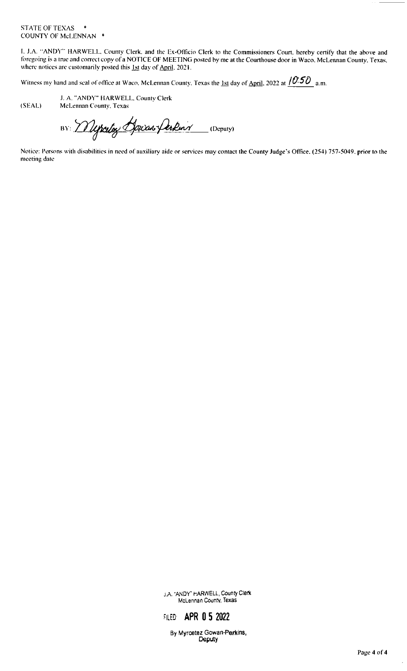#### STATE OF TEXAS \* COUNTY OF McLENNAN \*

I. J.A. "ANDY" HARWELL, County Clerk, and the Ex-Officio Clerk to the Commissioners Court, hereby certify that the above and foregoing is a true and correct copy of a NOTICE OF MEETING posted by me at the Courthouse door in Waco, McLennan County, Texas.<br>where notices are customarily posted this 1st day of April. 2021.

Witness my hand and seal of office at Waco. McLennan County. Texas the <u>1st</u> day of <u>April</u>. 2022 at  $\frac{/0.50}{\,}$  a.m.

J. A. " ANDY" IIARWELL. County Clerk SEAL) McLennan County. Texas

BY: Wepceton Journ Perkins (Deputy)

Notice: Persons with disabilities in need of auxiliary aide or services may contact the County Judge's Office. (254) 757-5049, prior to the meeting date

> J.A. "ANDY" HARWELL, County Clerk McLennan County, Texas

# FILED: **APR 0 5 2022**

By Myrcetez Gowan-Perkins, Deputy